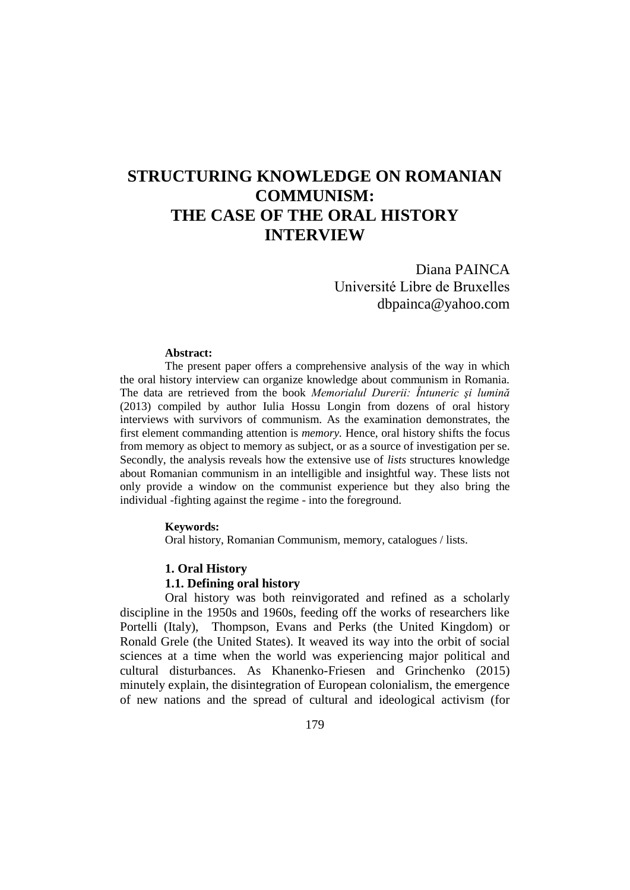# **STRUCTURING KNOWLEDGE ON ROMANIAN COMMUNISM: THE CASE OF THE ORAL HISTORY INTERVIEW**

Diana PAINCA Université Libre de Bruxelles dbpainca@yahoo.com

#### **Abstract:**

The present paper offers a comprehensive analysis of the way in which the oral history interview can organize knowledge about communism in Romania. The data are retrieved from the book *Memorialul Durerii: Întuneric şi lumină*  (2013) compiled by author Iulia Hossu Longin from dozens of oral history interviews with survivors of communism. As the examination demonstrates, the first element commanding attention is *memory.* Hence, oral history shifts the focus from memory as object to memory as subject, or as a source of investigation per se. Secondly, the analysis reveals how the extensive use of *lists* structures knowledge about Romanian communism in an intelligible and insightful way. These lists not only provide a window on the communist experience but they also bring the individual -fighting against the regime - into the foreground.

#### **Keywords:**

Oral history, Romanian Communism, memory, catalogues / lists.

#### **1. Oral History**

### **1.1. Defining oral history**

Oral history was both reinvigorated and refined as a scholarly discipline in the 1950s and 1960s, feeding off the works of researchers like Portelli (Italy), Thompson, Evans and Perks (the United Kingdom) or Ronald Grele (the United States). It weaved its way into the orbit of social sciences at a time when the world was experiencing major political and cultural disturbances. As Khanenko-Friesen and Grinchenko (2015) minutely explain, the disintegration of European colonialism, the emergence of new nations and the spread of cultural and ideological activism (for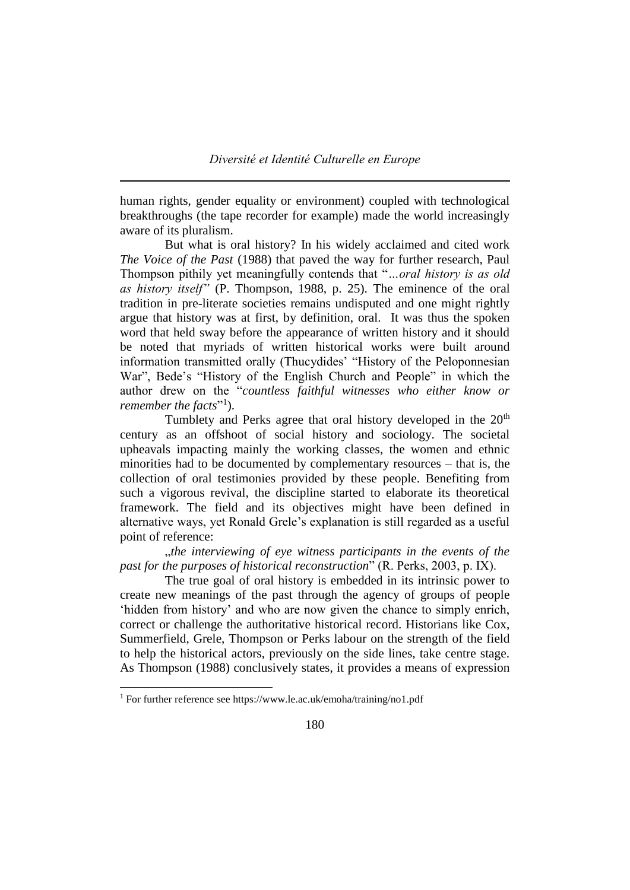human rights, gender equality or environment) coupled with technological breakthroughs (the tape recorder for example) made the world increasingly aware of its pluralism.

But what is oral history? In his widely acclaimed and cited work *The Voice of the Past* (1988) that paved the way for further research, Paul Thompson pithily yet meaningfully contends that "*…oral history is as old as history itself"* (P. Thompson, 1988, p. 25). The eminence of the oral tradition in pre-literate societies remains undisputed and one might rightly argue that history was at first, by definition, oral. It was thus the spoken word that held sway before the appearance of written history and it should be noted that myriads of written historical works were built around information transmitted orally (Thucydides' "History of the Peloponnesian War", Bede's "History of the English Church and People" in which the author drew on the "*countless faithful witnesses who either know or*  remember the facts"<sup>1</sup>).

Tumblety and Perks agree that oral history developed in the  $20<sup>th</sup>$ century as an offshoot of social history and sociology. The societal upheavals impacting mainly the working classes, the women and ethnic minorities had to be documented by complementary resources – that is, the collection of oral testimonies provided by these people. Benefiting from such a vigorous revival, the discipline started to elaborate its theoretical framework. The field and its objectives might have been defined in alternative ways, yet Ronald Grele's explanation is still regarded as a useful point of reference:

"*the interviewing of eye witness participants in the events of the past for the purposes of historical reconstruction*" (R. Perks, 2003, p. IX).

The true goal of oral history is embedded in its intrinsic power to create new meanings of the past through the agency of groups of people 'hidden from history' and who are now given the chance to simply enrich, correct or challenge the authoritative historical record. Historians like Cox, Summerfield, Grele, Thompson or Perks labour on the strength of the field to help the historical actors, previously on the side lines, take centre stage. As Thompson (1988) conclusively states, it provides a means of expression

 $\overline{a}$ 

<sup>1</sup> For further reference see https://www.le.ac.uk/emoha/training/no1.pdf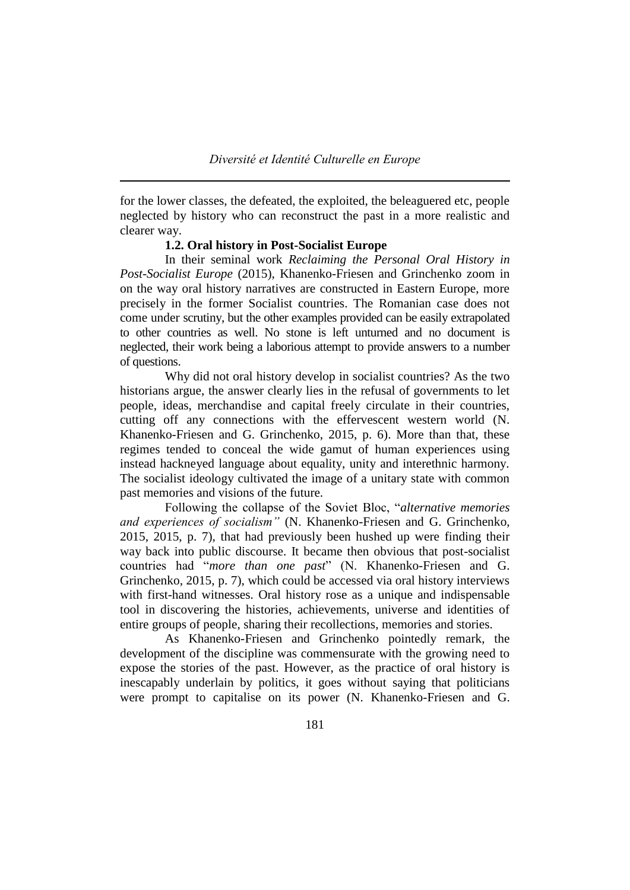for the lower classes, the defeated, the exploited, the beleaguered etc, people neglected by history who can reconstruct the past in a more realistic and clearer way.

# **1.2. Oral history in Post-Socialist Europe**

In their seminal work *Reclaiming the Personal Oral History in Post-Socialist Europe* (2015), Khanenko-Friesen and Grinchenko zoom in on the way oral history narratives are constructed in Eastern Europe, more precisely in the former Socialist countries. The Romanian case does not come under scrutiny, but the other examples provided can be easily extrapolated to other countries as well. No stone is left unturned and no document is neglected, their work being a laborious attempt to provide answers to a number of questions.

Why did not oral history develop in socialist countries? As the two historians argue, the answer clearly lies in the refusal of governments to let people, ideas, merchandise and capital freely circulate in their countries, cutting off any connections with the effervescent western world (N. Khanenko-Friesen and G. Grinchenko, 2015, p. 6). More than that, these regimes tended to conceal the wide gamut of human experiences using instead hackneyed language about equality, unity and interethnic harmony. The socialist ideology cultivated the image of a unitary state with common past memories and visions of the future.

Following the collapse of the Soviet Bloc, "*alternative memories and experiences of socialism"* (N. Khanenko-Friesen and G. Grinchenko, 2015, 2015, p. 7), that had previously been hushed up were finding their way back into public discourse. It became then obvious that post-socialist countries had "*more than one past*" (N. Khanenko-Friesen and G. Grinchenko, 2015, p. 7), which could be accessed via oral history interviews with first-hand witnesses. Oral history rose as a unique and indispensable tool in discovering the histories, achievements, universe and identities of entire groups of people, sharing their recollections, memories and stories.

As Khanenko-Friesen and Grinchenko pointedly remark, the development of the discipline was commensurate with the growing need to expose the stories of the past. However, as the practice of oral history is inescapably underlain by politics, it goes without saying that politicians were prompt to capitalise on its power (N. Khanenko-Friesen and G.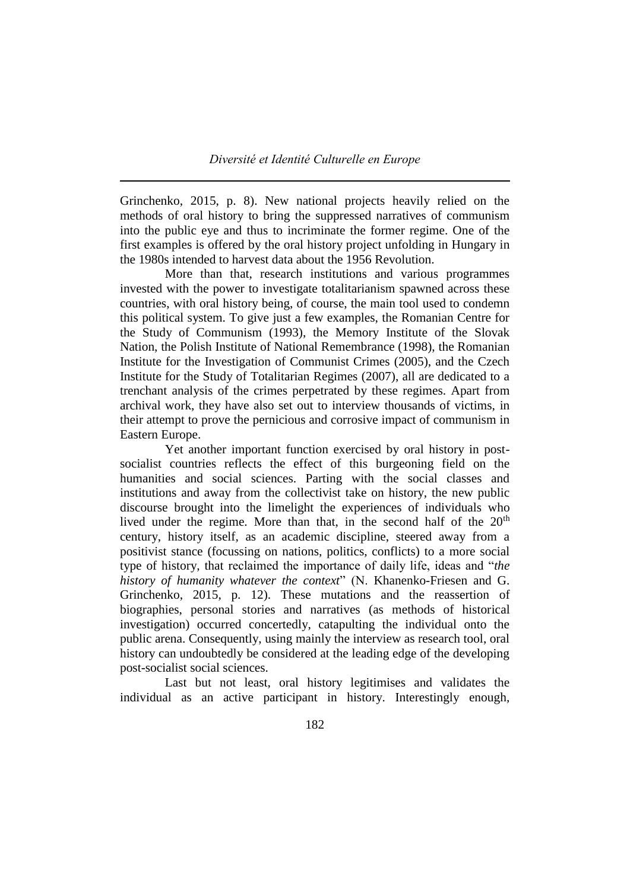Grinchenko, 2015, p. 8). New national projects heavily relied on the methods of oral history to bring the suppressed narratives of communism into the public eye and thus to incriminate the former regime. One of the first examples is offered by the oral history project unfolding in Hungary in the 1980s intended to harvest data about the 1956 Revolution.

More than that, research institutions and various programmes invested with the power to investigate totalitarianism spawned across these countries, with oral history being, of course, the main tool used to condemn this political system. To give just a few examples, the Romanian Centre for the Study of Communism (1993), the Memory Institute of the Slovak Nation, the Polish Institute of National Remembrance (1998), the Romanian Institute for the Investigation of Communist Crimes (2005), and the Czech Institute for the Study of Totalitarian Regimes (2007), all are dedicated to a trenchant analysis of the crimes perpetrated by these regimes. Apart from archival work, they have also set out to interview thousands of victims, in their attempt to prove the pernicious and corrosive impact of communism in Eastern Europe.

Yet another important function exercised by oral history in postsocialist countries reflects the effect of this burgeoning field on the humanities and social sciences. Parting with the social classes and institutions and away from the collectivist take on history, the new public discourse brought into the limelight the experiences of individuals who lived under the regime. More than that, in the second half of the 20<sup>th</sup> century, history itself, as an academic discipline, steered away from a positivist stance (focussing on nations, politics, conflicts) to a more social type of history, that reclaimed the importance of daily life, ideas and "*the history of humanity whatever the context*" (N. Khanenko-Friesen and G. Grinchenko, 2015, p. 12). These mutations and the reassertion of biographies, personal stories and narratives (as methods of historical investigation) occurred concertedly, catapulting the individual onto the public arena. Consequently, using mainly the interview as research tool, oral history can undoubtedly be considered at the leading edge of the developing post-socialist social sciences.

Last but not least, oral history legitimises and validates the individual as an active participant in history. Interestingly enough,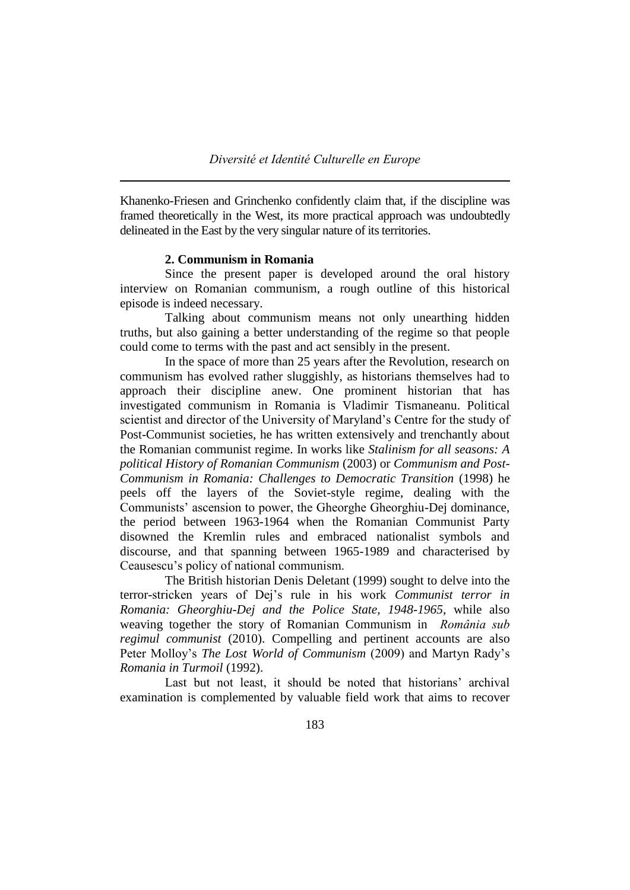Khanenko-Friesen and Grinchenko confidently claim that, if the discipline was framed theoretically in the West, its more practical approach was undoubtedly delineated in the East by the very singular nature of its territories.

# **2. Communism in Romania**

Since the present paper is developed around the oral history interview on Romanian communism, a rough outline of this historical episode is indeed necessary.

Talking about communism means not only unearthing hidden truths, but also gaining a better understanding of the regime so that people could come to terms with the past and act sensibly in the present.

In the space of more than 25 years after the Revolution, research on communism has evolved rather sluggishly, as historians themselves had to approach their discipline anew. One prominent historian that has investigated communism in Romania is Vladimir Tismaneanu. Political scientist and director of the University of Maryland's Centre for the study of Post-Communist societies, he has written extensively and trenchantly about the Romanian communist regime. In works like *Stalinism for all seasons: A political History of Romanian Communism* (2003) or *Communism and Post-Communism in Romania: Challenges to Democratic Transition* (1998) he peels off the layers of the Soviet-style regime, dealing with the Communists' ascension to power, the Gheorghe Gheorghiu-Dej dominance, the period between 1963-1964 when the Romanian Communist Party disowned the Kremlin rules and embraced nationalist symbols and discourse, and that spanning between 1965-1989 and characterised by Ceausescu's policy of national communism.

The British historian Denis Deletant (1999) sought to delve into the terror-stricken years of Dej's rule in his work *Communist terror in Romania: Gheorghiu-Dej and the Police State, 1948-1965*, while also weaving together the story of Romanian Communism in *România sub regimul communist* (2010). Compelling and pertinent accounts are also Peter Molloy's *The Lost World of Communism* (2009) and Martyn Rady's *Romania in Turmoil* (1992).

Last but not least, it should be noted that historians' archival examination is complemented by valuable field work that aims to recover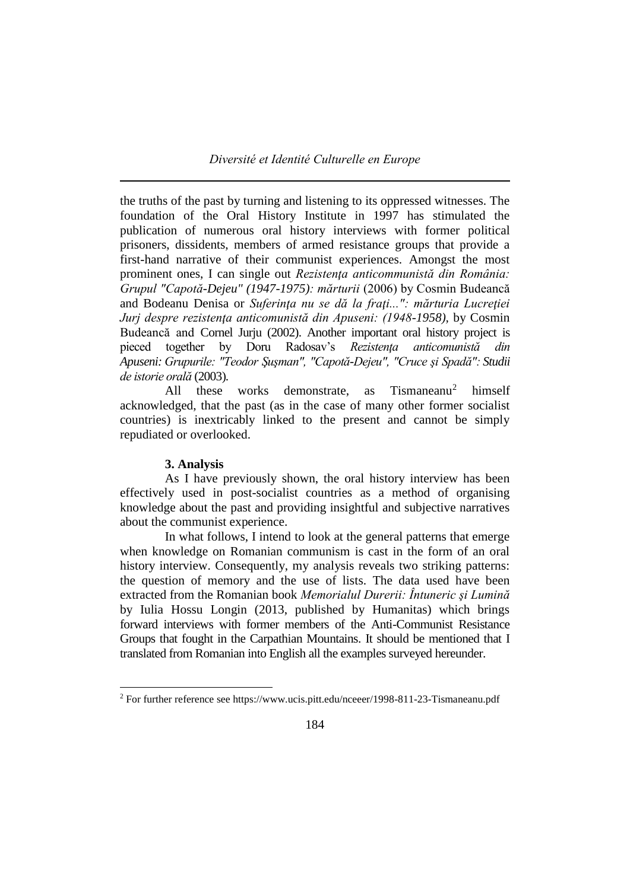the truths of the past by turning and listening to its oppressed witnesses. The foundation of the Oral History Institute in 1997 has stimulated the publication of numerous oral history interviews with former political prisoners, dissidents, members of armed resistance groups that provide a first-hand narrative of their communist experiences. Amongst the most prominent ones, I can single out *Rezistenţa anticommunistă din România: Grupul "Capotă-Dejeu" (1947-1975): mărturii* (2006) by Cosmin Budeancă and Bodeanu Denisa or *Suferinţa nu se dă la fraţi...": mărturia Lucreţiei Jurj despre rezistenţa anticomunistă din Apuseni: (1948-1958),* by Cosmin Budeancă and Cornel Jurju (2002). Another important oral history project is pieced together by Doru Radosav's *Rezistenţa anticomunistă din Apuseni: Grupurile: "Teodor Şuşman", "Capotă-Dejeu", "Cruce şi Spadă": Studii de istorie orală* (2003).

All these works demonstrate, as Tismaneanu<sup>2</sup> himself acknowledged, that the past (as in the case of many other former socialist countries) is inextricably linked to the present and cannot be simply repudiated or overlooked.

# **3. Analysis**

 $\overline{a}$ 

As I have previously shown, the oral history interview has been effectively used in post-socialist countries as a method of organising knowledge about the past and providing insightful and subjective narratives about the communist experience.

In what follows, I intend to look at the general patterns that emerge when knowledge on Romanian communism is cast in the form of an oral history interview. Consequently, my analysis reveals two striking patterns: the question of memory and the use of lists. The data used have been extracted from the Romanian book *Memorialul Durerii: Întuneric şi Lumină*  by Iulia Hossu Longin (2013, published by Humanitas) which brings forward interviews with former members of the Anti-Communist Resistance Groups that fought in the Carpathian Mountains. It should be mentioned that I translated from Romanian into English all the examples surveyed hereunder.

<sup>2</sup> For further reference see https://www.ucis.pitt.edu/nceeer/1998-811-23-Tismaneanu.pdf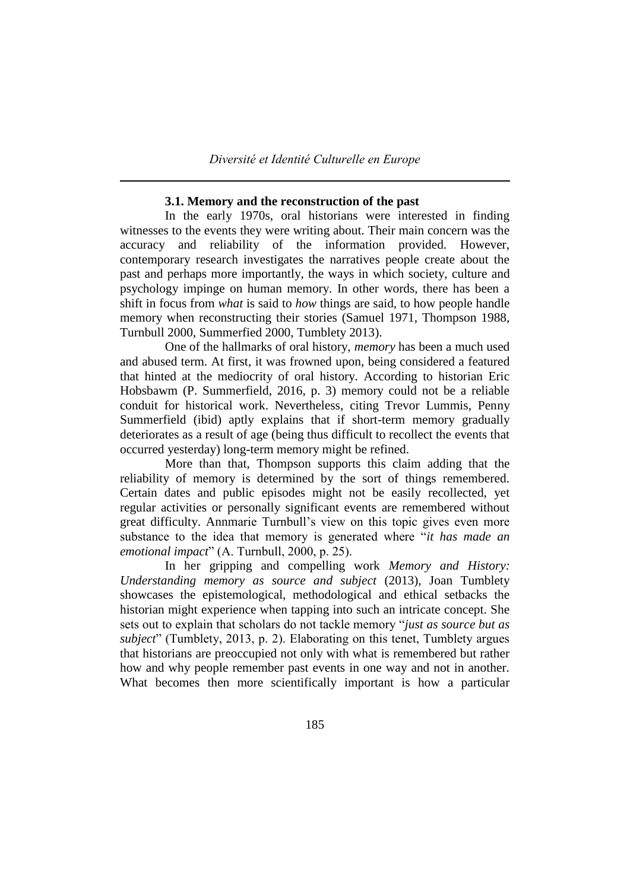### **3.1. Memory and the reconstruction of the past**

In the early 1970s, oral historians were interested in finding witnesses to the events they were writing about. Their main concern was the accuracy and reliability of the information provided. However, contemporary research investigates the narratives people create about the past and perhaps more importantly, the ways in which society, culture and psychology impinge on human memory. In other words, there has been a shift in focus from *what* is said to *how* things are said, to how people handle memory when reconstructing their stories (Samuel 1971, Thompson 1988, Turnbull 2000, Summerfied 2000, Tumblety 2013).

One of the hallmarks of oral history, *memory* has been a much used and abused term. At first, it was frowned upon, being considered a featured that hinted at the mediocrity of oral history. According to historian Eric Hobsbawm (P. Summerfield, 2016, p. 3) memory could not be a reliable conduit for historical work. Nevertheless, citing Trevor Lummis, Penny Summerfield (ibid) aptly explains that if short-term memory gradually deteriorates as a result of age (being thus difficult to recollect the events that occurred yesterday) long-term memory might be refined.

More than that, Thompson supports this claim adding that the reliability of memory is determined by the sort of things remembered. Certain dates and public episodes might not be easily recollected, yet regular activities or personally significant events are remembered without great difficulty. Annmarie Turnbull's view on this topic gives even more substance to the idea that memory is generated where "*it has made an emotional impact*" (A. Turnbull, 2000, p. 25).

In her gripping and compelling work *Memory and History: Understanding memory as source and subject* (2013), Joan Tumblety showcases the epistemological, methodological and ethical setbacks the historian might experience when tapping into such an intricate concept. She sets out to explain that scholars do not tackle memory "*just as source but as subject*" (Tumblety, 2013, p. 2). Elaborating on this tenet, Tumblety argues that historians are preoccupied not only with what is remembered but rather how and why people remember past events in one way and not in another. What becomes then more scientifically important is how a particular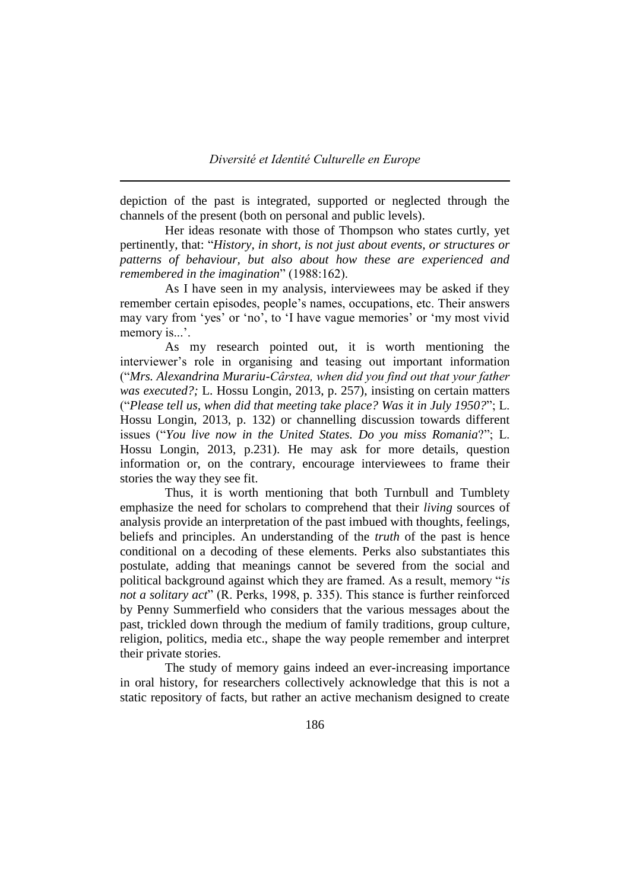depiction of the past is integrated, supported or neglected through the channels of the present (both on personal and public levels).

Her ideas resonate with those of Thompson who states curtly, yet pertinently, that: "*History, in short, is not just about events, or structures or patterns of behaviour, but also about how these are experienced and remembered in the imagination*" (1988:162).

As I have seen in my analysis, interviewees may be asked if they remember certain episodes, people's names, occupations, etc. Their answers may vary from 'yes' or 'no', to 'I have vague memories' or 'my most vivid memory is...'.

As my research pointed out, it is worth mentioning the interviewer's role in organising and teasing out important information ("*Mrs. Alexandrina Murariu-Cârstea, when did you find out that your father was executed?;* L. Hossu Longin, 2013, p. 257), insisting on certain matters ("*Please tell us, when did that meeting take place? Was it in July 1950?*"; L. Hossu Longin, 2013, p. 132) or channelling discussion towards different issues ("*You live now in the United States. Do you miss Romania*?"; L. Hossu Longin, 2013, p.231). He may ask for more details, question information or, on the contrary, encourage interviewees to frame their stories the way they see fit.

Thus, it is worth mentioning that both Turnbull and Tumblety emphasize the need for scholars to comprehend that their *living* sources of analysis provide an interpretation of the past imbued with thoughts, feelings, beliefs and principles. An understanding of the *truth* of the past is hence conditional on a decoding of these elements. Perks also substantiates this postulate, adding that meanings cannot be severed from the social and political background against which they are framed. As a result, memory "*is not a solitary act*" (R. Perks, 1998, p. 335). This stance is further reinforced by Penny Summerfield who considers that the various messages about the past, trickled down through the medium of family traditions, group culture, religion, politics, media etc., shape the way people remember and interpret their private stories.

The study of memory gains indeed an ever-increasing importance in oral history, for researchers collectively acknowledge that this is not a static repository of facts, but rather an active mechanism designed to create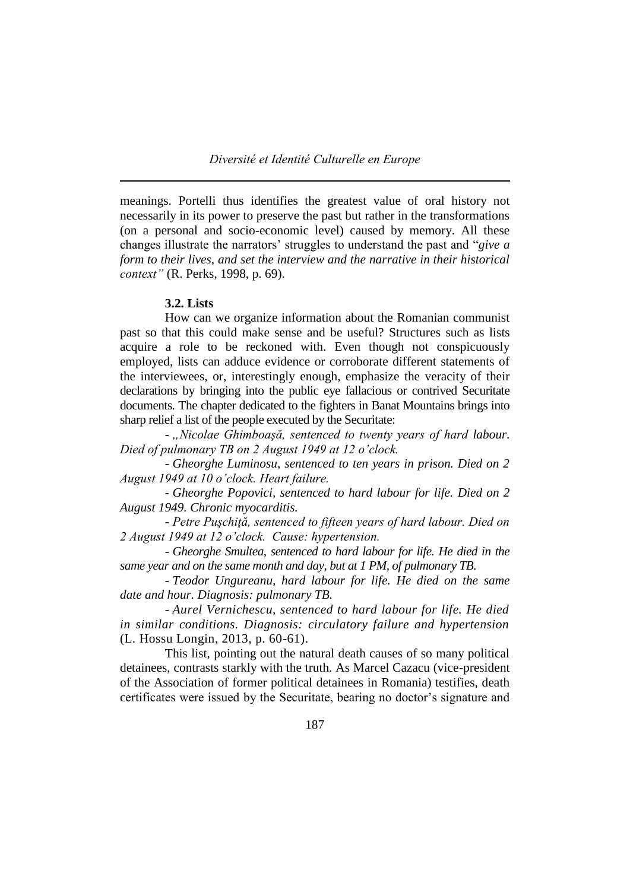meanings. Portelli thus identifies the greatest value of oral history not necessarily in its power to preserve the past but rather in the transformations (on a personal and socio-economic level) caused by memory. All these changes illustrate the narrators' struggles to understand the past and "*give a form to their lives, and set the interview and the narrative in their historical context"* (R. Perks, 1998, p. 69).

# **3.2. Lists**

How can we organize information about the Romanian communist past so that this could make sense and be useful? Structures such as lists acquire a role to be reckoned with. Even though not conspicuously employed, lists can adduce evidence or corroborate different statements of the interviewees, or, interestingly enough, emphasize the veracity of their declarations by bringing into the public eye fallacious or contrived Securitate documents. The chapter dedicated to the fighters in Banat Mountains brings into sharp relief a list of the people executed by the Securitate:

- "Nicolae Ghimboașă, sentenced to twenty years of hard labour. *Died of pulmonary TB on 2 August 1949 at 12 o'clock.*

- *Gheorghe Luminosu, sentenced to ten years in prison. Died on 2 August 1949 at 10 o'clock. Heart failure.*

- *Gheorghe Popovici, sentenced to hard labour for life. Died on 2 August 1949. Chronic myocarditis.*

- *Petre Puşchiţă, sentenced to fifteen years of hard labour. Died on 2 August 1949 at 12 o'clock. Cause: hypertension.* 

- *Gheorghe Smultea, sentenced to hard labour for life. He died in the same year and on the same month and day, but at 1 PM, of pulmonary TB.* 

- *Teodor Ungureanu, hard labour for life. He died on the same date and hour. Diagnosis: pulmonary TB.*

- *Aurel Vernichescu, sentenced to hard labour for life. He died in similar conditions. Diagnosis: circulatory failure and hypertension*  (L. Hossu Longin, 2013, p. 60-61).

This list, pointing out the natural death causes of so many political detainees, contrasts starkly with the truth. As Marcel Cazacu (vice-president of the Association of former political detainees in Romania) testifies, death certificates were issued by the Securitate, bearing no doctor's signature and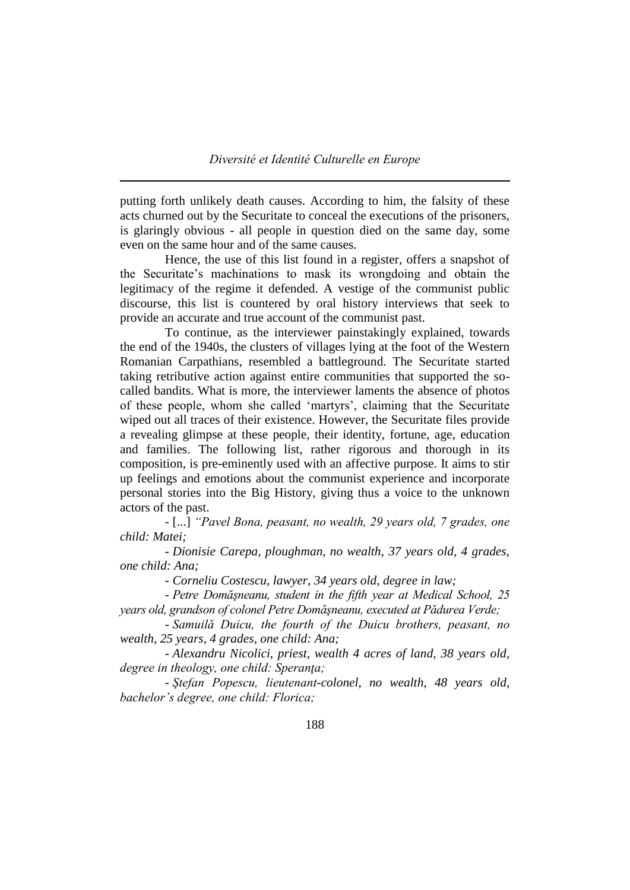putting forth unlikely death causes. According to him, the falsity of these acts churned out by the Securitate to conceal the executions of the prisoners, is glaringly obvious - all people in question died on the same day, some even on the same hour and of the same causes.

Hence, the use of this list found in a register, offers a snapshot of the Securitate's machinations to mask its wrongdoing and obtain the legitimacy of the regime it defended. A vestige of the communist public discourse, this list is countered by oral history interviews that seek to provide an accurate and true account of the communist past.

To continue, as the interviewer painstakingly explained, towards the end of the 1940s, the clusters of villages lying at the foot of the Western Romanian Carpathians, resembled a battleground. The Securitate started taking retributive action against entire communities that supported the socalled bandits. What is more, the interviewer laments the absence of photos of these people, whom she called 'martyrs', claiming that the Securitate wiped out all traces of their existence. However, the Securitate files provide a revealing glimpse at these people, their identity, fortune, age, education and families. The following list, rather rigorous and thorough in its composition, is pre-eminently used with an affective purpose. It aims to stir up feelings and emotions about the communist experience and incorporate personal stories into the Big History, giving thus a voice to the unknown actors of the past.

- [...] *"Pavel Bona, peasant, no wealth, 29 years old, 7 grades, one child: Matei;*

- *Dionisie Carepa, ploughman, no wealth, 37 years old, 4 grades, one child: Ana;*

- *Corneliu Costescu, lawyer, 34 years old, degree in law;*

- *Petre Domăşneanu, student in the fifth year at Medical School, 25 years old, grandson of colonel Petre Domăşneanu, executed at Pădurea Verde;*

- *Samuilă Duicu, the fourth of the Duicu brothers, peasant, no wealth, 25 years, 4 grades, one child: Ana;*

- *Alexandru Nicolici, priest, wealth 4 acres of land, 38 years old, degree in theology, one child: Speranţa;*

- *Ştefan Popescu, lieutenant-colonel, no wealth, 48 years old, bachelor's degree, one child: Florica;*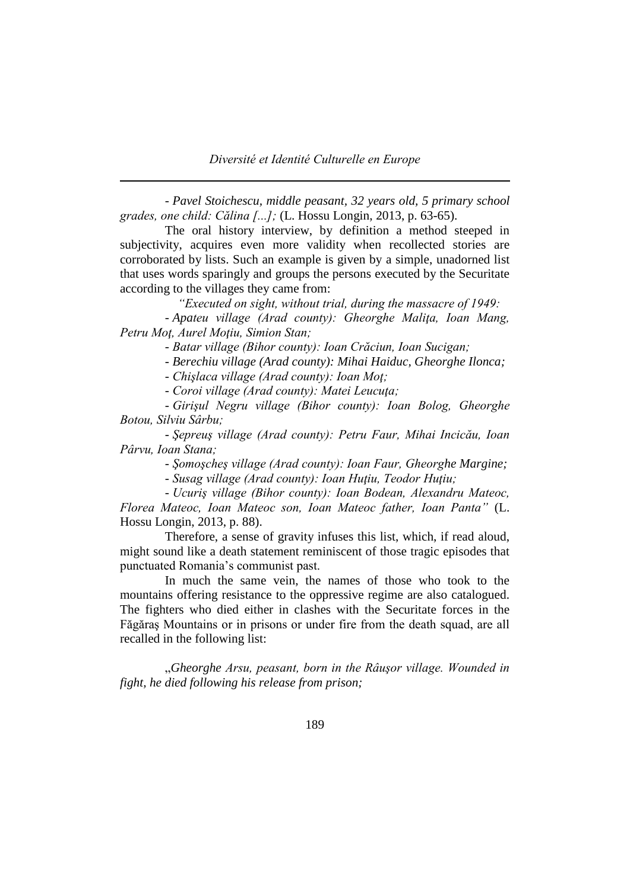- *Pavel Stoichescu, middle peasant, 32 years old, 5 primary school grades, one child: Călina [...];* (L. Hossu Longin, 2013, p. 63-65).

The oral history interview, by definition a method steeped in subjectivity, acquires even more validity when recollected stories are corroborated by lists. Such an example is given by a simple, unadorned list that uses words sparingly and groups the persons executed by the Securitate according to the villages they came from:

 *"Executed on sight, without trial, during the massacre of 1949:*

- *Apateu village (Arad county): Gheorghe Maliţa, Ioan Mang, Petru Moţ, Aurel Moţiu, Simion Stan;*

- *Batar village (Bihor county): Ioan Crăciun, Ioan Sucigan;*

- *Berechiu village (Arad county): Mihai Haiduc, Gheorghe Ilonca;*

- *Chişlaca village (Arad county): Ioan Moţ;*

- *Coroi village (Arad county): Matei Leucuţa;*

- *Girişul Negru village (Bihor county): Ioan Bolog, Gheorghe Botou, Silviu Sârbu;*

- *Şepreuş village (Arad county): Petru Faur, Mihai Incicău, Ioan Pârvu, Ioan Stana;*

- *Şomoşcheş village (Arad county): Ioan Faur, Gheorghe Margine;*

- *Susag village (Arad county): Ioan Huţiu, Teodor Huţiu;*

- *Ucuriş village (Bihor county): Ioan Bodean, Alexandru Mateoc, Florea Mateoc, Ioan Mateoc son, Ioan Mateoc father, Ioan Panta"* (L. Hossu Longin, 2013, p. 88).

Therefore, a sense of gravity infuses this list, which, if read aloud, might sound like a death statement reminiscent of those tragic episodes that punctuated Romania's communist past.

In much the same vein, the names of those who took to the mountains offering resistance to the oppressive regime are also catalogued. The fighters who died either in clashes with the Securitate forces in the Făgăraş Mountains or in prisons or under fire from the death squad, are all recalled in the following list:

"*Gheorghe Arsu, peasant, born in the Râuşor village. Wounded in fight, he died following his release from prison;*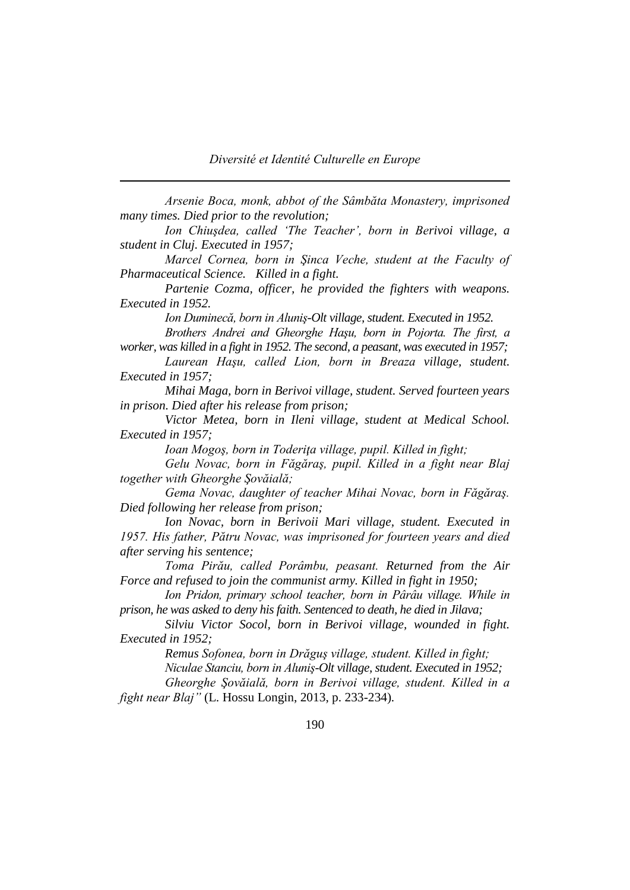*Arsenie Boca, monk, abbot of the Sâmbăta Monastery, imprisoned many times. Died prior to the revolution;*

*Ion Chiuşdea, called 'The Teacher', born in Berivoi village, a student in Cluj. Executed in 1957;*

*Marcel Cornea, born in Şinca Veche, student at the Faculty of Pharmaceutical Science. Killed in a fight.* 

*Partenie Cozma, officer, he provided the fighters with weapons. Executed in 1952.* 

*Ion Duminecă, born in Aluniş-Olt village, student. Executed in 1952.* 

*Brothers Andrei and Gheorghe Haşu, born in Pojorta. The first, a worker, was killed in a fight in 1952. The second, a peasant, was executed in 1957;*

Laurean Haşu, called Lion, born in Breaza village, student. *Executed in 1957;*

*Mihai Maga, born in Berivoi village, student. Served fourteen years in prison. Died after his release from prison;*

*Victor Metea, born in Ileni village, student at Medical School. Executed in 1957;*

*Ioan Mogoş, born in Toderiţa village, pupil. Killed in fight;*

*Gelu Novac, born in Făgăraş, pupil. Killed in a fight near Blaj together with Gheorghe Şovăială;*

*Gema Novac, daughter of teacher Mihai Novac, born in Făgăraş. Died following her release from prison;*

*Ion Novac, born in Berivoii Mari village, student. Executed in 1957. His father, Pătru Novac, was imprisoned for fourteen years and died after serving his sentence;*

*Toma Pirău, called Porâmbu, peasant. Returned from the Air Force and refused to join the communist army. Killed in fight in 1950;*

*Ion Pridon, primary school teacher, born in Pârâu village. While in prison, he was asked to deny his faith. Sentenced to death, he died in Jilava;*

*Silviu Victor Socol, born in Berivoi village, wounded in fight. Executed in 1952;*

*Remus Sofonea, born in Drăguş village, student. Killed in fight;*

*Niculae Stanciu, born in Aluniş-Olt village, student. Executed in 1952;*

*Gheorghe Şovăială, born in Berivoi village, student. Killed in a fight near Blaj"* (L. Hossu Longin, 2013, p. 233-234)*.*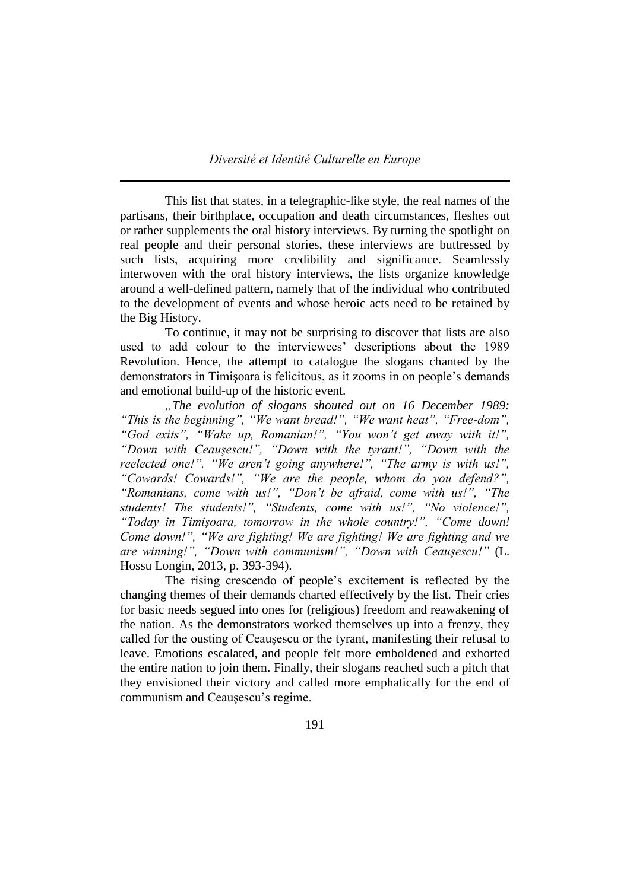This list that states, in a telegraphic-like style, the real names of the partisans, their birthplace, occupation and death circumstances, fleshes out or rather supplements the oral history interviews. By turning the spotlight on real people and their personal stories, these interviews are buttressed by such lists, acquiring more credibility and significance. Seamlessly interwoven with the oral history interviews, the lists organize knowledge around a well-defined pattern, namely that of the individual who contributed to the development of events and whose heroic acts need to be retained by the Big History.

To continue, it may not be surprising to discover that lists are also used to add colour to the interviewees' descriptions about the 1989 Revolution. Hence, the attempt to catalogue the slogans chanted by the demonstrators in Timişoara is felicitous, as it zooms in on people's demands and emotional build-up of the historic event.

*"The evolution of slogans shouted out on 16 December 1989: "This is the beginning", "We want bread!", "We want heat", "Free-dom", "God exits", "Wake up, Romanian!", "You won't get away with it!", "Down with Ceauşescu!", "Down with the tyrant!", "Down with the*  reelected one!", "We aren't going anywhere!", "The army is with us!", *"Cowards! Cowards!", "We are the people, whom do you defend?", "Romanians, come with us!", "Don't be afraid, come with us!", "The students! The students!", "Students, come with us!", "No violence!", "Today in Timişoara, tomorrow in the whole country!", "Come down! Come down!", "We are fighting! We are fighting! We are fighting and we are winning!", "Down with communism!", "Down with Ceauşescu!"* (L. Hossu Longin, 2013, p. 393-394).

The rising crescendo of people's excitement is reflected by the changing themes of their demands charted effectively by the list. Their cries for basic needs segued into ones for (religious) freedom and reawakening of the nation. As the demonstrators worked themselves up into a frenzy, they called for the ousting of Ceauşescu or the tyrant, manifesting their refusal to leave. Emotions escalated, and people felt more emboldened and exhorted the entire nation to join them. Finally, their slogans reached such a pitch that they envisioned their victory and called more emphatically for the end of communism and Ceauşescu's regime.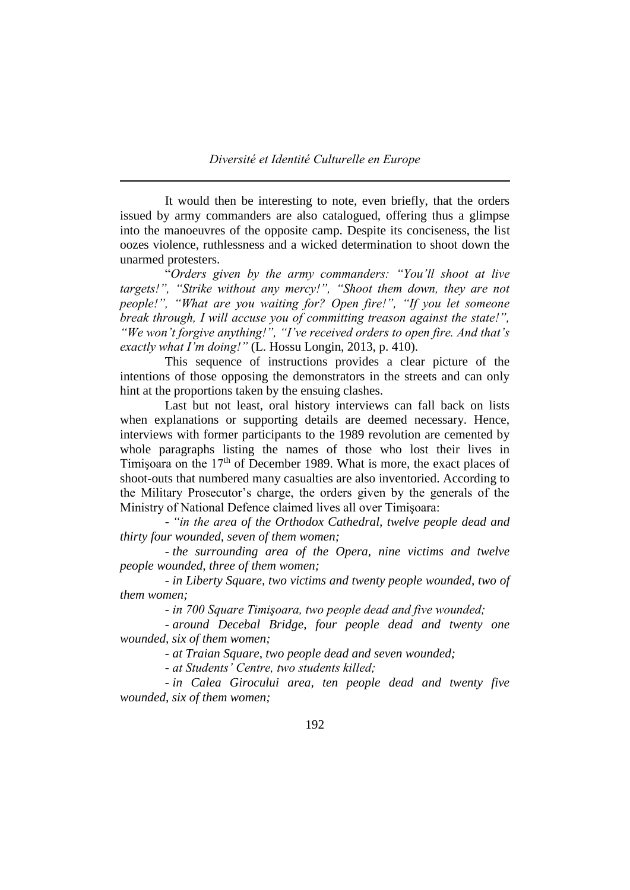It would then be interesting to note, even briefly, that the orders issued by army commanders are also catalogued, offering thus a glimpse into the manoeuvres of the opposite camp. Despite its conciseness, the list oozes violence, ruthlessness and a wicked determination to shoot down the unarmed protesters.

"*Orders given by the army commanders: "You'll shoot at live targets!", "Strike without any mercy!", "Shoot them down, they are not people!", "What are you waiting for? Open fire!", "If you let someone break through, I will accuse you of committing treason against the state!", "We won't forgive anything!", "I've received orders to open fire. And that's exactly what I'm doing!"* (L. Hossu Longin, 2013, p. 410).

This sequence of instructions provides a clear picture of the intentions of those opposing the demonstrators in the streets and can only hint at the proportions taken by the ensuing clashes.

Last but not least, oral history interviews can fall back on lists when explanations or supporting details are deemed necessary. Hence, interviews with former participants to the 1989 revolution are cemented by whole paragraphs listing the names of those who lost their lives in Timisoara on the 17<sup>th</sup> of December 1989. What is more, the exact places of shoot-outs that numbered many casualties are also inventoried. According to the Military Prosecutor's charge, the orders given by the generals of the Ministry of National Defence claimed lives all over Timişoara:

- *"in the area of the Orthodox Cathedral, twelve people dead and thirty four wounded, seven of them women;*

- *the surrounding area of the Opera, nine victims and twelve people wounded, three of them women;*

- *in Liberty Square, two victims and twenty people wounded, two of them women;*

- *in 700 Square Timişoara, two people dead and five wounded;*

- *around Decebal Bridge, four people dead and twenty one wounded, six of them women;*

- *at Traian Square, two people dead and seven wounded;*

- *at Students' Centre, two students killed;*

- *in Calea Girocului area, ten people dead and twenty five wounded, six of them women;*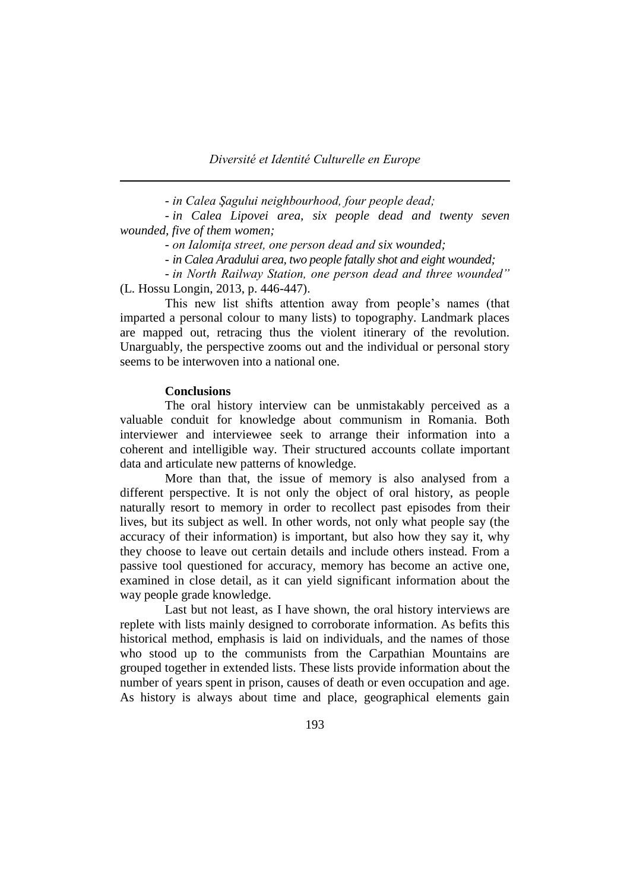*Diversité et Identité Culturelle en Europe*

- *in Calea Şagului neighbourhood, four people dead;*

- *in Calea Lipovei area, six people dead and twenty seven wounded, five of them women;*

- *on Ialomiţa street, one person dead and six wounded;*

- *in Calea Aradului area, two people fatally shot and eight wounded;*

- *in North Railway Station, one person dead and three wounded"* (L. Hossu Longin, 2013, p. 446-447).

This new list shifts attention away from people's names (that imparted a personal colour to many lists) to topography. Landmark places are mapped out, retracing thus the violent itinerary of the revolution. Unarguably, the perspective zooms out and the individual or personal story seems to be interwoven into a national one.

### **Conclusions**

The oral history interview can be unmistakably perceived as a valuable conduit for knowledge about communism in Romania. Both interviewer and interviewee seek to arrange their information into a coherent and intelligible way. Their structured accounts collate important data and articulate new patterns of knowledge.

More than that, the issue of memory is also analysed from a different perspective. It is not only the object of oral history, as people naturally resort to memory in order to recollect past episodes from their lives, but its subject as well. In other words, not only what people say (the accuracy of their information) is important, but also how they say it, why they choose to leave out certain details and include others instead. From a passive tool questioned for accuracy, memory has become an active one, examined in close detail, as it can yield significant information about the way people grade knowledge.

Last but not least, as I have shown, the oral history interviews are replete with lists mainly designed to corroborate information. As befits this historical method, emphasis is laid on individuals, and the names of those who stood up to the communists from the Carpathian Mountains are grouped together in extended lists. These lists provide information about the number of years spent in prison, causes of death or even occupation and age. As history is always about time and place, geographical elements gain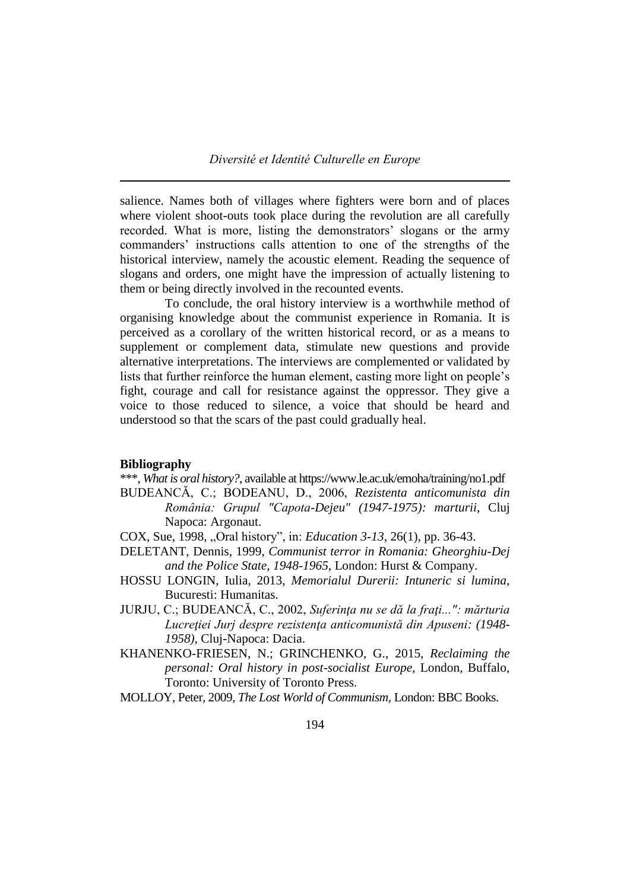salience. Names both of villages where fighters were born and of places where violent shoot-outs took place during the revolution are all carefully recorded. What is more, listing the demonstrators' slogans or the army commanders' instructions calls attention to one of the strengths of the historical interview, namely the acoustic element. Reading the sequence of slogans and orders, one might have the impression of actually listening to them or being directly involved in the recounted events.

To conclude, the oral history interview is a worthwhile method of organising knowledge about the communist experience in Romania. It is perceived as a corollary of the written historical record, or as a means to supplement or complement data, stimulate new questions and provide alternative interpretations. The interviews are complemented or validated by lists that further reinforce the human element, casting more light on people's fight, courage and call for resistance against the oppressor. They give a voice to those reduced to silence, a voice that should be heard and understood so that the scars of the past could gradually heal.

#### **Bibliography**

- \*\*\*, *What is oral history?*, available at https://www.le.ac.uk/emoha/training/no1.pdf BUDEANCĂ, C.; BODEANU, D., 2006, *Rezistenta anticomunista din România: Grupul "Capota-Dejeu" (1947-1975): marturii*, Cluj Napoca: Argonaut.
- COX, Sue, 1998, "Oral history", in: *Education 3-13,* 26(1), pp. 36-43.
- DELETANT, Dennis, 1999, *Communist terror in Romania: Gheorghiu-Dej and the Police State, 1948-1965*, London: Hurst & Company.
- HOSSU LONGIN, Iulia, 2013, *Memorialul Durerii: Intuneric si lumina*, Bucuresti: Humanitas.
- JURJU, C.; BUDEANCĂ, C., 2002, *Suferinţa nu se dă la fraţi...": mărturia Lucreţiei Jurj despre rezistenţa anticomunistă din Apuseni: (1948- 1958),* Cluj-Napoca: Dacia.
- KHANENKO-FRIESEN, N.; GRINCHENKO, G., 2015, *Reclaiming the personal: Oral history in post-socialist Europe*, London, Buffalo, Toronto: University of Toronto Press.
- MOLLOY, Peter, 2009, *The Lost World of Communism,* London: BBC Books.